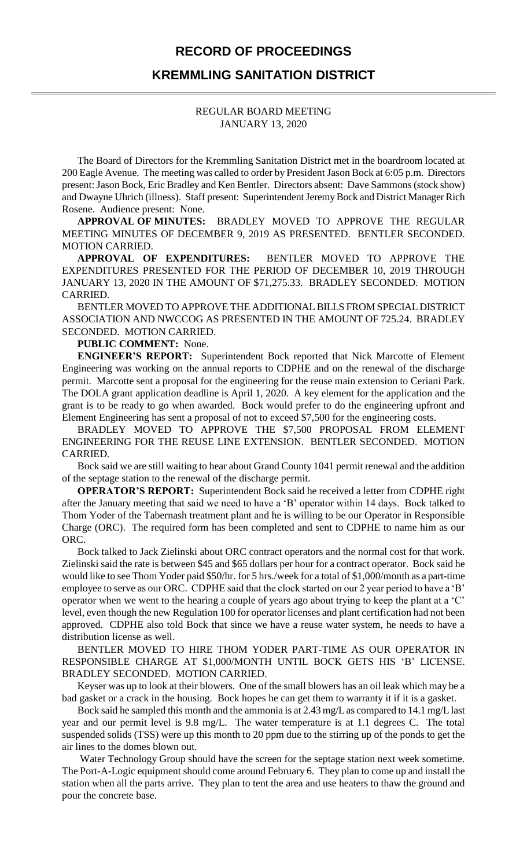## **RECORD OF PROCEEDINGS**

## **KREMMLING SANITATION DISTRICT**

## REGULAR BOARD MEETING JANUARY 13, 2020

The Board of Directors for the Kremmling Sanitation District met in the boardroom located at 200 Eagle Avenue. The meeting was called to order by President Jason Bock at 6:05 p.m. Directors present:Jason Bock, Eric Bradley and Ken Bentler. Directors absent: Dave Sammons (stock show) and Dwayne Uhrich (illness). Staff present: Superintendent Jeremy Bock and District Manager Rich Rosene. Audience present: None.

**APPROVAL OF MINUTES:** BRADLEY MOVED TO APPROVE THE REGULAR MEETING MINUTES OF DECEMBER 9, 2019 AS PRESENTED. BENTLER SECONDED. MOTION CARRIED.

**APPROVAL OF EXPENDITURES:** BENTLER MOVED TO APPROVE THE EXPENDITURES PRESENTED FOR THE PERIOD OF DECEMBER 10, 2019 THROUGH JANUARY 13, 2020 IN THE AMOUNT OF \$71,275.33. BRADLEY SECONDED. MOTION CARRIED.

BENTLER MOVED TO APPROVE THE ADDITIONAL BILLS FROM SPECIAL DISTRICT ASSOCIATION AND NWCCOG AS PRESENTED IN THE AMOUNT OF 725.24. BRADLEY SECONDED. MOTION CARRIED.

**PUBLIC COMMENT:** None.

**ENGINEER'S REPORT:** Superintendent Bock reported that Nick Marcotte of Element Engineering was working on the annual reports to CDPHE and on the renewal of the discharge permit. Marcotte sent a proposal for the engineering for the reuse main extension to Ceriani Park. The DOLA grant application deadline is April 1, 2020. A key element for the application and the grant is to be ready to go when awarded. Bock would prefer to do the engineering upfront and Element Engineering has sent a proposal of not to exceed \$7,500 for the engineering costs.

BRADLEY MOVED TO APPROVE THE \$7,500 PROPOSAL FROM ELEMENT ENGINEERING FOR THE REUSE LINE EXTENSION. BENTLER SECONDED. MOTION CARRIED.

Bock said we are still waiting to hear about Grand County 1041 permit renewal and the addition of the septage station to the renewal of the discharge permit.

**OPERATOR'S REPORT:** Superintendent Bock said he received a letter from CDPHE right after the January meeting that said we need to have a 'B' operator within 14 days. Bock talked to Thom Yoder of the Tabernash treatment plant and he is willing to be our Operator in Responsible Charge (ORC). The required form has been completed and sent to CDPHE to name him as our ORC.

Bock talked to Jack Zielinski about ORC contract operators and the normal cost for that work. Zielinski said the rate is between \$45 and \$65 dollars per hour for a contract operator. Bock said he would like to see Thom Yoder paid \$50/hr. for 5 hrs./week for a total of \$1,000/month as a part-time employee to serve as our ORC. CDPHE said that the clock started on our 2 year period to have a 'B' operator when we went to the hearing a couple of years ago about trying to keep the plant at a 'C' level, even though the new Regulation 100 for operator licenses and plant certification had not been approved. CDPHE also told Bock that since we have a reuse water system, he needs to have a distribution license as well.

BENTLER MOVED TO HIRE THOM YODER PART-TIME AS OUR OPERATOR IN RESPONSIBLE CHARGE AT \$1,000/MONTH UNTIL BOCK GETS HIS 'B' LICENSE. BRADLEY SECONDED. MOTION CARRIED.

Keyser was up to look at their blowers. One of the small blowers has an oil leak which may be a bad gasket or a crack in the housing. Bock hopes he can get them to warranty it if it is a gasket.

Bock said he sampled this month and the ammonia is at 2.43 mg/L as compared to 14.1 mg/L last year and our permit level is 9.8 mg/L. The water temperature is at 1.1 degrees C. The total suspended solids (TSS) were up this month to 20 ppm due to the stirring up of the ponds to get the air lines to the domes blown out.

Water Technology Group should have the screen for the septage station next week sometime. The Port-A-Logic equipment should come around February 6. They plan to come up and install the station when all the parts arrive. They plan to tent the area and use heaters to thaw the ground and pour the concrete base.